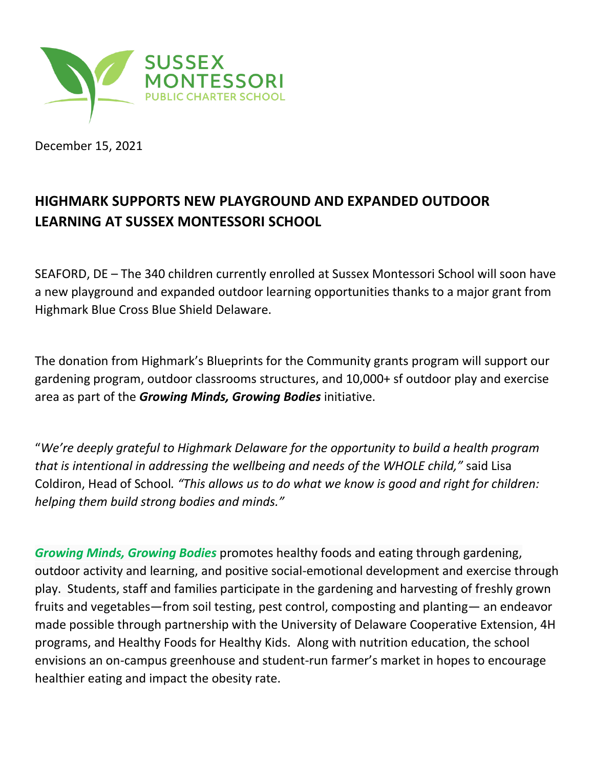

December 15, 2021

## **HIGHMARK SUPPORTS NEW PLAYGROUND AND EXPANDED OUTDOOR LEARNING AT SUSSEX MONTESSORI SCHOOL**

SEAFORD, DE – The 340 children currently enrolled at Sussex Montessori School will soon have a new playground and expanded outdoor learning opportunities thanks to a major grant from Highmark Blue Cross Blue Shield Delaware.

The donation from Highmark's Blueprints for the Community grants program will support our gardening program, outdoor classrooms structures, and 10,000+ sf outdoor play and exercise area as part of the *Growing Minds, Growing Bodies* initiative.

"*We're deeply grateful to Highmark Delaware for the opportunity to build a health program that is intentional in addressing the wellbeing and needs of the WHOLE child,"* said Lisa Coldiron, Head of School*. "This allows us to do what we know is good and right for children: helping them build strong bodies and minds."*

*Growing Minds, Growing Bodies* promotes healthy foods and eating through gardening, outdoor activity and learning, and positive social-emotional development and exercise through play. Students, staff and families participate in the gardening and harvesting of freshly grown fruits and vegetables—from soil testing, pest control, composting and planting— an endeavor made possible through partnership with the University of Delaware Cooperative Extension, 4H programs, and Healthy Foods for Healthy Kids. Along with nutrition education, the school envisions an on-campus greenhouse and student-run farmer's market in hopes to encourage healthier eating and impact the obesity rate.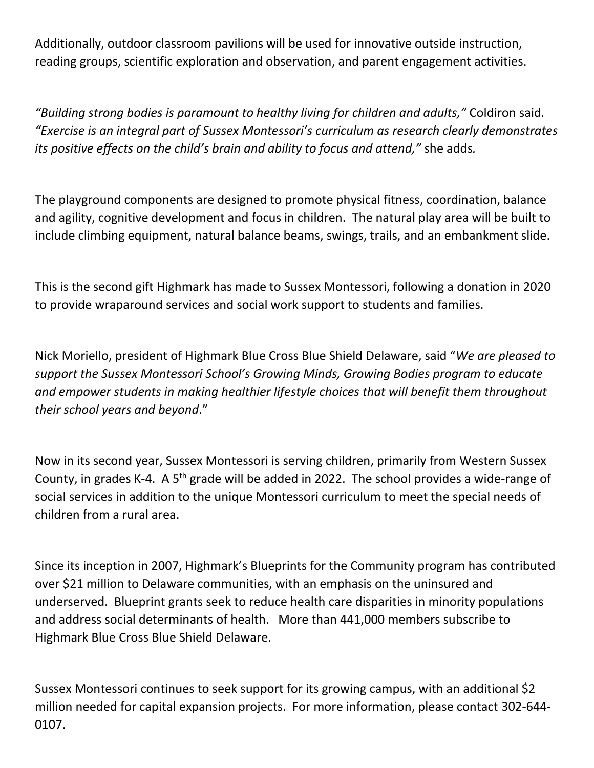Additionally, outdoor classroom pavilions will be used for innovative outside instruction, reading groups, scientific exploration and observation, and parent engagement activities.

*"Building strong bodies is paramount to healthy living for children and adults,"* Coldiron said*. "Exercise is an integral part of Sussex Montessori's curriculum as research clearly demonstrates its positive effects on the child's brain and ability to focus and attend,"* she adds*.* 

The playground components are designed to promote physical fitness, coordination, balance and agility, cognitive development and focus in children. The natural play area will be built to include climbing equipment, natural balance beams, swings, trails, and an embankment slide.

This is the second gift Highmark has made to Sussex Montessori, following a donation in 2020 to provide wraparound services and social work support to students and families.

Nick Moriello, president of Highmark Blue Cross Blue Shield Delaware, said "*We are pleased to support the Sussex Montessori School's Growing Minds, Growing Bodies program to educate and empower students in making healthier lifestyle choices that will benefit them throughout their school years and beyond*."

Now in its second year, Sussex Montessori is serving children, primarily from Western Sussex County, in grades K-4. A 5<sup>th</sup> grade will be added in 2022. The school provides a wide-range of social services in addition to the unique Montessori curriculum to meet the special needs of children from a rural area.

Since its inception in 2007, Highmark's Blueprints for the Community program has contributed over \$21 million to Delaware communities, with an emphasis on the uninsured and underserved. Blueprint grants seek to reduce health care disparities in minority populations and address social determinants of health. More than 441,000 members subscribe to Highmark Blue Cross Blue Shield Delaware.

Sussex Montessori continues to seek support for its growing campus, with an additional \$2 million needed for capital expansion projects. For more information, please contact 302-644- 0107.